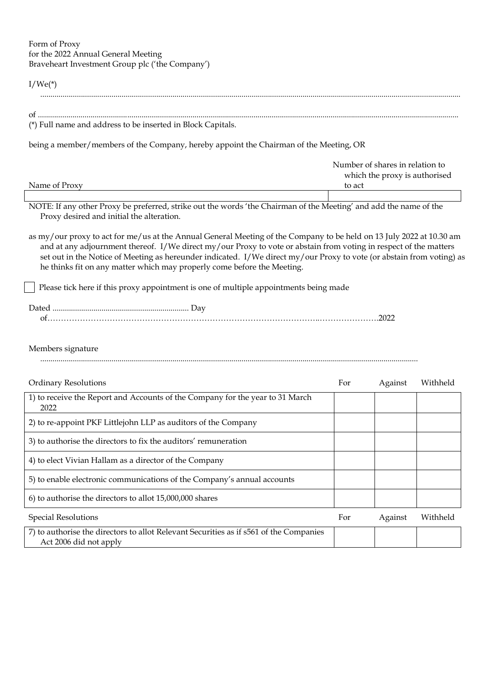## Form of Proxy for the 2022 Annual General Meeting Braveheart Investment Group plc ('the Company')

## $I/We(*)$ ...............................................................................................................................................................................................................

| of                                                          |  |
|-------------------------------------------------------------|--|
| (*) Full name and address to be inserted in Block Capitals. |  |

being a member/members of the Company, hereby appoint the Chairman of the Meeting, OR

|               | Number of shares in relation to |
|---------------|---------------------------------|
|               | which the proxy is authorised   |
| Name of Proxy | to act                          |
|               |                                 |

NOTE: If any other Proxy be preferred, strike out the words 'the Chairman of the Meeting' and add the name of the Proxy desired and initial the alteration.

as my/our proxy to act for me/us at the Annual General Meeting of the Company to be held on 13 July 2022 at 10.30 am and at any adjournment thereof. I/We direct my/our Proxy to vote or abstain from voting in respect of the matters set out in the Notice of Meeting as hereunder indicated. I/We direct my/our Proxy to vote (or abstain from voting) as he thinks fit on any matter which may properly come before the Meeting.

Please tick here if this proxy appointment is one of multiple appointments being made

## Members signature

..........................................................................................................................................................................................

| <b>Ordinary Resolutions</b>                                                                                        | For | Against | Withheld |
|--------------------------------------------------------------------------------------------------------------------|-----|---------|----------|
| 1) to receive the Report and Accounts of the Company for the year to 31 March<br>2022                              |     |         |          |
| 2) to re-appoint PKF Littlejohn LLP as auditors of the Company                                                     |     |         |          |
| 3) to authorise the directors to fix the auditors' remuneration                                                    |     |         |          |
| 4) to elect Vivian Hallam as a director of the Company                                                             |     |         |          |
| 5) to enable electronic communications of the Company's annual accounts                                            |     |         |          |
| 6) to authorise the directors to allot 15,000,000 shares                                                           |     |         |          |
| <b>Special Resolutions</b>                                                                                         | For | Against | Withheld |
| 7) to authorise the directors to allot Relevant Securities as if $s561$ of the Companies<br>Act 2006 did not apply |     |         |          |